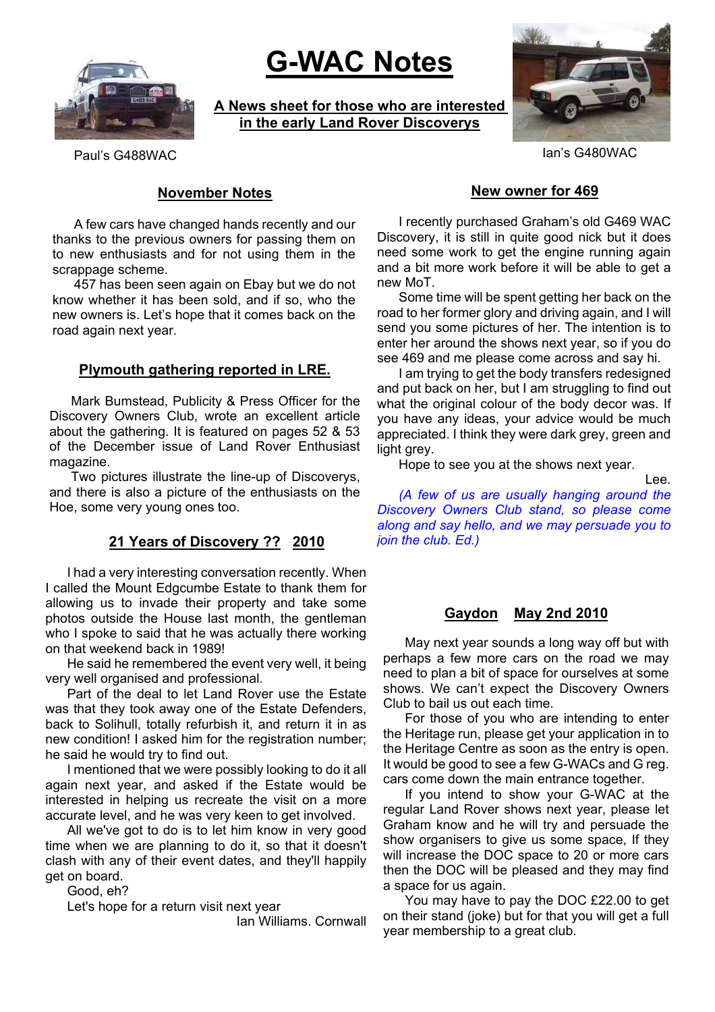

# **G-WAC Notes**

**A News sheet for those who are interested in the early Land Rover Discoverys**



Paul's G488WAC Ian's G480WAC

# **November Notes**

A few cars have changed hands recently and our thanks to the previous owners for passing them on to new enthusiasts and for not using them in the scrappage scheme.

457 has been seen again on Ebay but we do not know whether it has been sold, and if so, who the new owners is. Let's hope that it comes back on the road again next year.

### **Plymouth gathering reported in LRE.**

Mark Bumstead, Publicity & Press Officer for the Discovery Owners Club, wrote an excellent article about the gathering. It is featured on pages 52 & 53 of the December issue of Land Rover Enthusiast magazine.

Two pictures illustrate the line-up of Discoverys, and there is also a picture of the enthusiasts on the Hoe, some very young ones too.

# **21 Years of Discovery ?? 2010**

I had a very interesting conversation recently. When I called the Mount Edgcumbe Estate to thank them for allowing us to invade their property and take some photos outside the House last month, the gentleman who I spoke to said that he was actually there working on that weekend back in 1989!

He said he remembered the event very well, it being very well organised and professional.

Part of the deal to let Land Rover use the Estate was that they took away one of the Estate Defenders, back to Solihull, totally refurbish it, and return it in as new condition! I asked him for the registration number; he said he would try to find out.

I mentioned that we were possibly looking to do it all again next year, and asked if the Estate would be interested in helping us recreate the visit on a more accurate level, and he was very keen to get involved.

All we've got to do is to let him know in very good time when we are planning to do it, so that it doesn't clash with any of their event dates, and they'll happily get on board.

Good, eh?

Let's hope for a return visit next year

Ian Williams. Cornwall

#### **New owner for 469**

I recently purchased Graham's old G469 WAC Discovery, it is still in quite good nick but it does need some work to get the engine running again and a bit more work before it will be able to get a new MoT.

Some time will be spent getting her back on the road to her former glory and driving again, and I will send you some pictures of her. The intention is to enter her around the shows next year, so if you do see 469 and me please come across and say hi.

I am trying to get the body transfers redesigned and put back on her, but I am struggling to find out what the original colour of the body decor was. If you have any ideas, your advice would be much appreciated. I think they were dark grey, green and light grey.

Hope to see you at the shows next year.

Lee.

*(A few of us are usually hanging around the Discovery Owners Club stand, so please come along and say hello, and we may persuade you to join the club. Ed.)*

#### **Gaydon May 2nd 2010**

May next year sounds a long way off but with perhaps a few more cars on the road we may need to plan a bit of space for ourselves at some shows. We can't expect the Discovery Owners Club to bail us out each time.

For those of you who are intending to enter the Heritage run, please get your application in to the Heritage Centre as soon as the entry is open. It would be good to see a few G-WACs and G reg. cars come down the main entrance together.

If you intend to show your G-WAC at the regular Land Rover shows next year, please let Graham know and he will try and persuade the show organisers to give us some space, If they will increase the DOC space to 20 or more cars then the DOC will be pleased and they may find a space for us again.

You may have to pay the DOC £22.00 to get on their stand (joke) but for that you will get a full year membership to a great club.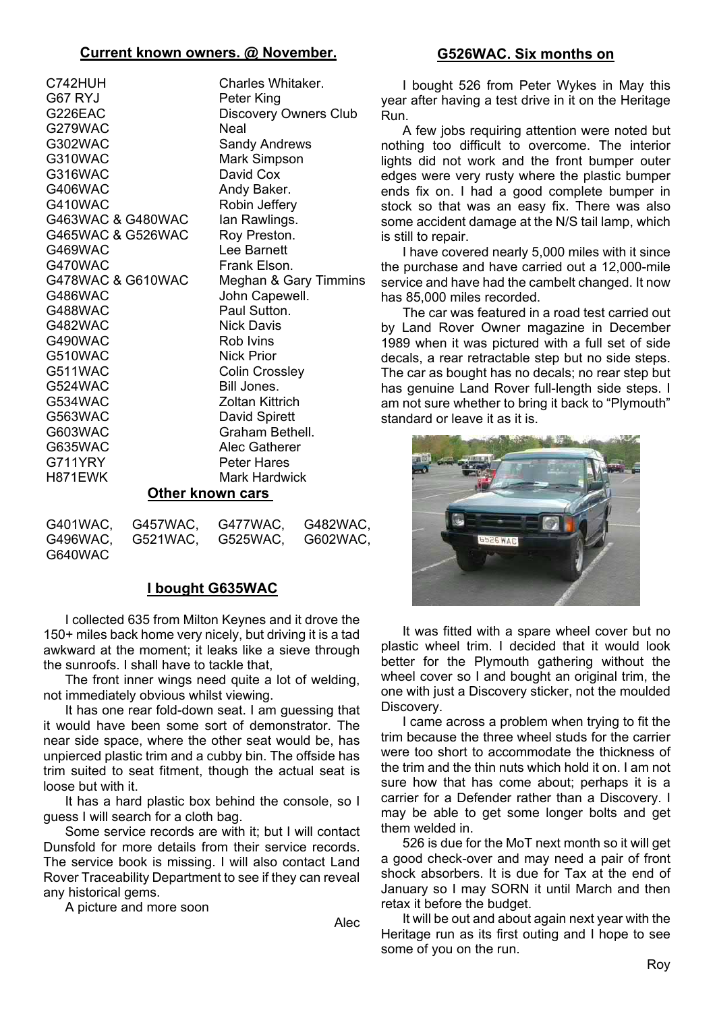## **Current known owners. @ November.**

| C742HUH           | Charles Whitaker.      |  |
|-------------------|------------------------|--|
| G67 RYJ           | Peter King             |  |
| G226EAC           | Discovery Owners Club  |  |
| G279WAC           | Neal                   |  |
| G302WAC           | <b>Sandy Andrews</b>   |  |
| G310WAC           | <b>Mark Simpson</b>    |  |
| G316WAC           | David Cox              |  |
| G406WAC           | Andy Baker.            |  |
| G410WAC           | Robin Jeffery          |  |
| G463WAC & G480WAC | lan Rawlings.          |  |
| G465WAC & G526WAC | Roy Preston.           |  |
| G469WAC           | Lee Barnett            |  |
| G470WAC           | Frank Elson.           |  |
| G478WAC & G610WAC | Meghan & Gary Timmins  |  |
| G486WAC           | John Capewell.         |  |
| G488WAC           | Paul Sutton.           |  |
| G482WAC           | <b>Nick Davis</b>      |  |
| G490WAC           | Rob Ivins              |  |
| G510WAC           | <b>Nick Prior</b>      |  |
| G511WAC           | <b>Colin Crossley</b>  |  |
| G524WAC           | Bill Jones.            |  |
| G534WAC           | <b>Zoltan Kittrich</b> |  |
| G563WAC           | David Spirett          |  |
| G603WAC           | Graham Bethell.        |  |
| G635WAC           | Alec Gatherer          |  |
| G711YRY           | <b>Peter Hares</b>     |  |
| H871EWK           | Mark Hardwick          |  |
| Other known cars  |                        |  |

|         | G401WAC, G457WAC, G477WAC, G482WAC, |  |
|---------|-------------------------------------|--|
|         | G496WAC, G521WAC, G525WAC, G602WAC, |  |
| G640WAC |                                     |  |

# **I bought G635WAC**

I collected 635 from Milton Keynes and it drove the 150+ miles back home very nicely, but driving it is a tad awkward at the moment; it leaks like a sieve through the sunroofs. I shall have to tackle that,

The front inner wings need quite a lot of welding, not immediately obvious whilst viewing.

It has one rear fold-down seat. I am guessing that it would have been some sort of demonstrator. The near side space, where the other seat would be, has unpierced plastic trim and a cubby bin. The offside has trim suited to seat fitment, though the actual seat is loose but with it.

It has a hard plastic box behind the console, so I guess I will search for a cloth bag.

Some service records are with it; but I will contact Dunsfold for more details from their service records. The service book is missing. I will also contact Land Rover Traceability Department to see if they can reveal any historical gems.

A picture and more soon

Alec

# **G526WAC. Six months on**

I bought 526 from Peter Wykes in May this year after having a test drive in it on the Heritage Run.

A few jobs requiring attention were noted but nothing too difficult to overcome. The interior lights did not work and the front bumper outer edges were very rusty where the plastic bumper ends fix on. I had a good complete bumper in stock so that was an easy fix. There was also some accident damage at the N/S tail lamp, which is still to repair.

I have covered nearly 5,000 miles with it since the purchase and have carried out a 12,000-mile service and have had the cambelt changed. It now has 85,000 miles recorded.

The car was featured in a road test carried out by Land Rover Owner magazine in December 1989 when it was pictured with a full set of side decals, a rear retractable step but no side steps. The car as bought has no decals; no rear step but has genuine Land Rover full-length side steps. I am not sure whether to bring it back to "Plymouth" standard or leave it as it is.



It was fitted with a spare wheel cover but no plastic wheel trim. I decided that it would look better for the Plymouth gathering without the wheel cover so I and bought an original trim, the one with just a Discovery sticker, not the moulded Discovery.

I came across a problem when trying to fit the trim because the three wheel studs for the carrier were too short to accommodate the thickness of the trim and the thin nuts which hold it on. I am not sure how that has come about; perhaps it is a carrier for a Defender rather than a Discovery. I may be able to get some longer bolts and get them welded in.

526 is due for the MoT next month so it will get a good check-over and may need a pair of front shock absorbers. It is due for Tax at the end of January so I may SORN it until March and then retax it before the budget.

It will be out and about again next year with the Heritage run as its first outing and I hope to see some of you on the run.